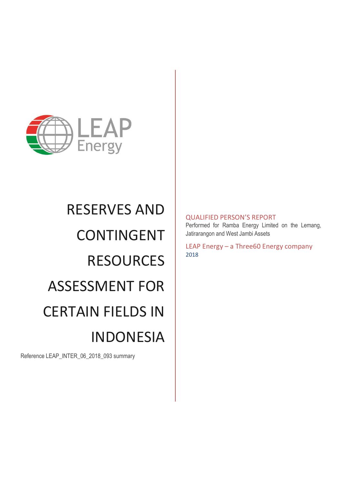

# RESERVES AND CONTINGENT **RESOURCES** ASSESSMENT FOR CERTAIN FIELDS IN INDONESIA

Reference LEAP\_INTER\_06\_2018\_093 summary

## QUALIFIED PERSON'S REPORT

Performed for Ramba Energy Limited on the Lemang, Jatirarangon and West Jambi Assets

LEAP Energy – a Three60 Energy company 2018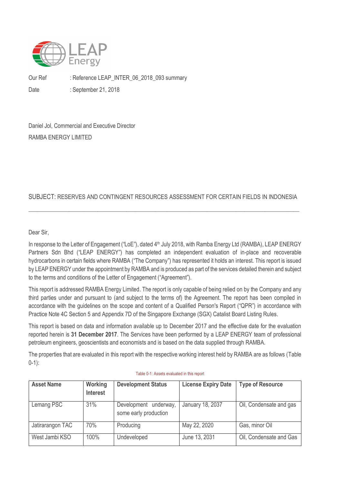

Our Ref : Reference LEAP\_INTER\_06\_2018\_093 summary Date : September 21, 2018

Daniel Jol, Commercial and Executive Director RAMBA ENERGY LIMITED

## SUBJECT: RESERVES AND CONTINGENT RESOURCES ASSESSMENT FOR CERTAIN FIELDS IN INDONESIA

\_\_\_\_\_\_\_\_\_\_\_\_\_\_\_\_\_\_\_\_\_\_\_\_\_\_\_\_\_\_\_\_\_\_\_\_\_\_\_\_\_\_\_\_\_\_\_\_\_\_\_\_\_\_\_\_\_\_\_\_\_\_\_\_\_\_\_\_\_\_\_\_\_\_\_\_\_\_\_\_\_\_\_\_\_\_\_\_\_\_\_\_\_\_

Dear Sir,

In response to the Letter of Engagement ("LoE"), dated 4<sup>th</sup> July 2018, with Ramba Energy Ltd (RAMBA), LEAP ENERGY Partners Sdn Bhd ("LEAP ENERGY") has completed an independent evaluation of in-place and recoverable hydrocarbons in certain fields where RAMBA ("The Company") has represented it holds an interest. This report is issued by LEAP ENERGY under the appointment by RAMBA and is produced as part of the services detailed therein and subject to the terms and conditions of the Letter of Engagement ("Agreement").

This report is addressed RAMBA Energy Limited. The report is only capable of being relied on by the Company and any third parties under and pursuant to (and subject to the terms of) the Agreement. The report has been compiled in accordance with the guidelines on the scope and content of a Qualified Person's Report ("QPR") in accordance with Practice Note 4C Section 5 and Appendix 7D of the Singapore Exchange (SGX) Catalist Board Listing Rules.

This report is based on data and information available up to December 2017 and the effective date for the evaluation reported herein is **31 December 2017**. The Services have been performed by a LEAP ENERGY team of professional petroleum engineers, geoscientists and economists and is based on the data supplied through RAMBA.

The properties that are evaluated in this report with the respective working interest held by RAMBA are as follows [\(Table](#page-1-0)  [0-1\)](#page-1-0):

<span id="page-1-0"></span>

| <b>Asset Name</b> | Working<br><b>Interest</b> | <b>Development Status</b>                         | <b>License Expiry Date</b> | <b>Type of Resource</b> |
|-------------------|----------------------------|---------------------------------------------------|----------------------------|-------------------------|
| Lemang PSC        | 31%                        | Development<br>underway,<br>some early production | January 18, 2037           | Oil, Condensate and gas |
| Jatirarangon TAC  | 70%                        | Producing                                         | May 22, 2020               | Gas, minor Oil          |
| West Jambi KSO    | 100%                       | Undeveloped                                       | June 13, 2031              | Oil, Condensate and Gas |

#### Table 0-1: Assets evaluated in this report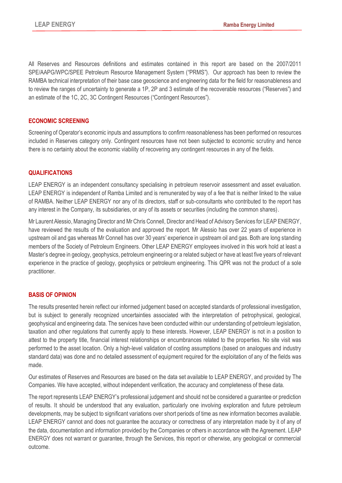All Reserves and Resources definitions and estimates contained in this report are based on the 2007/2011 SPE/AAPG/WPC/SPEE Petroleum Resource Management System ("PRMS"). Our approach has been to review the RAMBA technical interpretation of their base case geoscience and engineering data for the field for reasonableness and to review the ranges of uncertainty to generate a 1P, 2P and 3 estimate of the recoverable resources ("Reserves") and an estimate of the 1C, 2C, 3C Contingent Resources ("Contingent Resources").

#### **ECONOMIC SCREENING**

Screening of Operator's economic inputs and assumptions to confirm reasonableness has been performed on resources included in Reserves category only. Contingent resources have not been subjected to economic scrutiny and hence there is no certainty about the economic viability of recovering any contingent resources in any of the fields.

### **QUALIFICATIONS**

LEAP ENERGY is an independent consultancy specialising in petroleum reservoir assessment and asset evaluation. LEAP ENERGY is independent of Ramba Limited and is remunerated by way of a fee that is neither linked to the value of RAMBA. Neither LEAP ENERGY nor any of its directors, staff or sub-consultants who contributed to the report has any interest in the Company, its subsidiaries, or any of its assets or securities (including the common shares).

Mr Laurent Alessio, Managing Director and Mr Chris Connell, Director and Head of Advisory Services for LEAP ENERGY, have reviewed the results of the evaluation and approved the report. Mr Alessio has over 22 years of experience in upstream oil and gas whereas Mr Connell has over 30 years' experience in upstream oil and gas. Both are long standing members of the Society of Petroleum Engineers. Other LEAP ENERGY employees involved in this work hold at least a Master's degree in geology, geophysics, petroleum engineering or a related subject or have at least five years of relevant experience in the practice of geology, geophysics or petroleum engineering. This QPR was not the product of a sole practitioner.

#### **BASIS OF OPINION**

The results presented herein reflect our informed judgement based on accepted standards of professional investigation, but is subject to generally recognized uncertainties associated with the interpretation of petrophysical, geological, geophysical and engineering data. The services have been conducted within our understanding of petroleum legislation, taxation and other regulations that currently apply to these interests. However, LEAP ENERGY is not in a position to attest to the property title, financial interest relationships or encumbrances related to the properties. No site visit was performed to the asset location. Only a high-level validation of costing assumptions (based on analogues and industry standard data) was done and no detailed assessment of equipment required for the exploitation of any of the fields was made.

Our estimates of Reserves and Resources are based on the data set available to LEAP ENERGY, and provided by The Companies. We have accepted, without independent verification, the accuracy and completeness of these data.

The report represents LEAP ENERGY's professional judgement and should not be considered a guarantee or prediction of results. It should be understood that any evaluation, particularly one involving exploration and future petroleum developments, may be subject to significant variations over short periods of time as new information becomes available. LEAP ENERGY cannot and does not guarantee the accuracy or correctness of any interpretation made by it of any of the data, documentation and information provided by the Companies or others in accordance with the Agreement. LEAP ENERGY does not warrant or guarantee, through the Services, this report or otherwise, any geological or commercial outcome.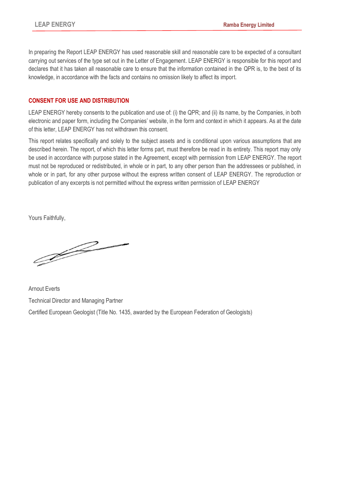In preparing the Report LEAP ENERGY has used reasonable skill and reasonable care to be expected of a consultant carrying out services of the type set out in the Letter of Engagement. LEAP ENERGY is responsible for this report and declares that it has taken all reasonable care to ensure that the information contained in the QPR is, to the best of its knowledge, in accordance with the facts and contains no omission likely to affect its import.

### **CONSENT FOR USE AND DISTRIBUTION**

LEAP ENERGY hereby consents to the publication and use of: (i) the QPR; and (ii) its name, by the Companies, in both electronic and paper form, including the Companies' website, in the form and context in which it appears. As at the date of this letter, LEAP ENERGY has not withdrawn this consent.

This report relates specifically and solely to the subject assets and is conditional upon various assumptions that are described herein. The report, of which this letter forms part, must therefore be read in its entirety. This report may only be used in accordance with purpose stated in the Agreement, except with permission from LEAP ENERGY. The report must not be reproduced or redistributed, in whole or in part, to any other person than the addressees or published, in whole or in part, for any other purpose without the express written consent of LEAP ENERGY. The reproduction or publication of any excerpts is not permitted without the express written permission of LEAP ENERGY

Yours Faithfully,

<u>J</u>

Arnout Everts Technical Director and Managing Partner Certified European Geologist (Title No. 1435, awarded by the European Federation of Geologists)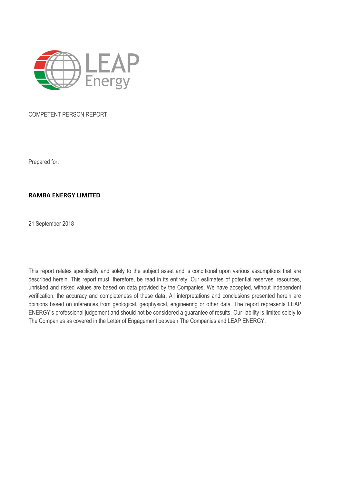

#### COMPETENT PERSON REPORT

Prepared for:

#### **RAMBA ENERGY LIMITED**

21 September 2018

This report relates specifically and solely to the subject asset and is conditional upon various assumptions that are described herein. This report must, therefore, be read in its entirety. Our estimates of potential reserves, resources, unrisked and risked values are based on data provided by the Companies. We have accepted, without independent verification, the accuracy and completeness of these data. All interpretations and conclusions presented herein are opinions based on inferences from geological, geophysical, engineering or other data. The report represents LEAP ENERGY's professional judgement and should not be considered a guarantee of results. Our liability is limited solely to The Companies as covered in the Letter of Engagement between The Companies and LEAP ENERGY.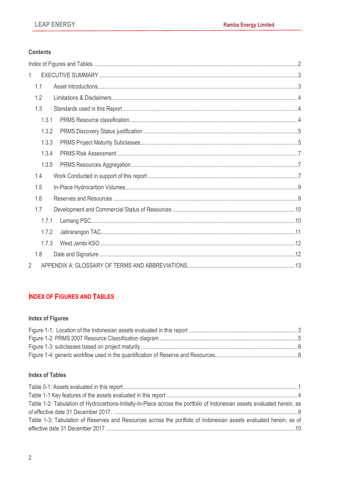## **Contents**

| 1              |  |
|----------------|--|
| 1.1            |  |
| 1.2            |  |
| 1.3            |  |
| 1.3.1          |  |
| 1.3.2          |  |
| 1.3.3          |  |
| 1.3.4          |  |
| 1.3.5          |  |
| 1.4            |  |
| 1.5            |  |
| 1.6            |  |
| 1.7            |  |
| 1.7.1          |  |
| 1.7.2          |  |
| 1.7.3          |  |
| 1.8            |  |
| $\overline{2}$ |  |

## <span id="page-5-0"></span>**INDEX OF FIGURES AND TABLES**

## **Index of Figures**

## **Index of Tables**

| Table 1-2: Tabulation of Hydrocarbons-Initially-In-Place across the portfolio of Indonesian assets evaluated herein, as |  |
|-------------------------------------------------------------------------------------------------------------------------|--|
|                                                                                                                         |  |
| Table 1-3: Tabulation of Reserves and Resources across the portfolio of Indonesian assets evaluated herein, as of       |  |
|                                                                                                                         |  |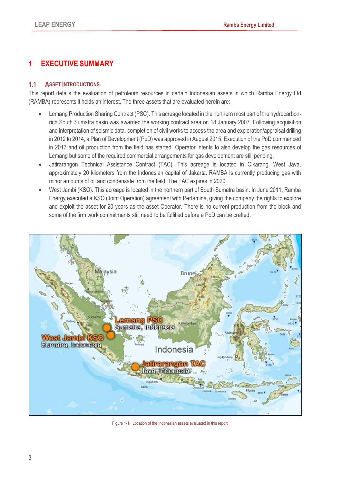# <span id="page-6-0"></span>**1 EXECUTIVE SUMMARY**

## <span id="page-6-1"></span>**1.1 ASSET INTRODUCTIONS**

This report details the evaluation of petroleum resources in certain Indonesian assets in which Ramba Energy Ltd (RAMBA) represents it holds an interest. The three assets that are evaluated herein are:

- Lemang Production Sharing Contract (PSC). This acreage located in the northern most part of the hydrocarbonrich South Sumatra basin was awarded the working contract area on 18 January 2007. Following acquisition and interpretation of seismic data, completion of civil works to access the area and exploration/appraisal drilling in 2012 to 2014, a Plan of Development (PoD) was approved in August 2015. Execution of the PoD commenced in 2017 and oil production from the field has started. Operator intents to also develop the gas resources of Lemang but some of the required commercial arrangements for gas development are still pending.
- Jatirarangon Technical Assistance Contract (TAC). This acreage is located in Cikarang, West Java, approximately 20 kilometers from the Indonesian capital of Jakarta. RAMBA is currently producing gas with minor amounts of oil and condensate from the field. The TAC expires in 2020.
- West Jambi (KSO). This acreage is located in the northern part of South Sumatra basin. In June 2011, Ramba Energy executed a KSO (Joint Operation) agreement with Pertamina, giving the company the rights to explore and exploit the asset for 20 years as the asset Operator. There is no current production from the block and some of the firm work commitments still need to be fulfilled before a PoD can be crafted.



<span id="page-6-2"></span>Figure 1-1: Location of the Indonesian assets evaluated in this report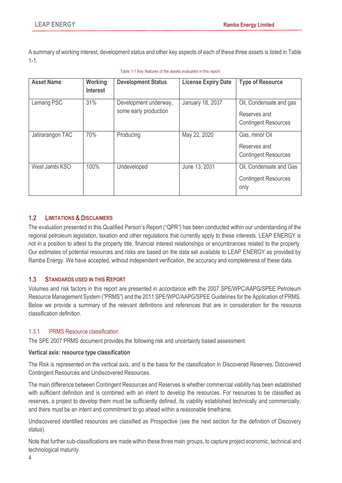A summary of working interest, development status and other key aspects of each of these three assets is listed in [Table](#page-7-3)  [1-1.](#page-7-3)

<span id="page-7-3"></span>

| <b>Asset Name</b> | Working<br><b>Interest</b> | <b>Development Status</b>                      | <b>License Expiry Date</b> | <b>Type of Resource</b>                                                |
|-------------------|----------------------------|------------------------------------------------|----------------------------|------------------------------------------------------------------------|
| Lemang PSC        | 31%                        | Development underway,<br>some early production | January 18, 2037           | Oil, Condensate and gas<br>Reserves and<br><b>Contingent Resources</b> |
| Jatirarangon TAC  | 70%                        | Producing                                      | May 22, 2020               | Gas, minor Oil<br>Reserves and<br><b>Contingent Resources</b>          |
| West Jambi KSO    | 100%                       | Undeveloped                                    | June 13, 2031              | Oil, Condensate and Gas<br><b>Contingent Resources</b><br>only         |

|  | Table 1-1 Key features of the assets evaluated in this report |  |  |  |  |
|--|---------------------------------------------------------------|--|--|--|--|
|--|---------------------------------------------------------------|--|--|--|--|

#### <span id="page-7-0"></span>**1.2 LIMITATIONS & DISCLAIMERS**

The evaluation presented in this Qualified Person's Report ("QPR") has been conducted within our understanding of the regional petroleum legislation, taxation and other regulations that currently apply to these interests. LEAP ENERGY is not in a position to attest to the property title, financial interest relationships or encumbrances related to the property. Our estimates of potential resources and risks are based on the data set available to LEAP ENERGY as provided by Ramba Energy. We have accepted, without independent verification, the accuracy and completeness of these data.

#### <span id="page-7-1"></span>**1.3 STANDARDS USED IN THIS REPORT**

Volumes and risk factors in this report are presented in accordance with the 2007 SPE/WPC/AAPG/SPEE Petroleum Resource Management System ("PRMS") and the 2011 SPE/WPC/AAPG/SPEE Guidelines for the Application of PRMS. Below we provide a summary of the relevant definitions and references that are in consideration for the resource classification definition.

#### <span id="page-7-2"></span>1.3.1 PRMS Resource classification

The SPE 2007 PRMS document provides the following risk and uncertainty based assessment.

#### **Vertical axis: resource type classification**

The Risk is represented on the vertical axis, and is the basis for the classification in Discovered Reserves, Discovered Contingent Resources and Undiscovered Resources.

The main difference between Contingent Resources and Reserves is whether commercial viability has been established with sufficient definition and is combined with an intent to develop the resources. For resources to be classified as reserves, a project to develop them must be sufficiently defined, its viability established technically and commercially, and there must be an intent and commitment to go ahead within a reasonable timeframe.

Undiscovered identified resources are classified as Prospective (see the next section for the definition of Discovery status).

Note that further sub-classifications are made within these three main groups, to capture project economic, technical and technological maturity.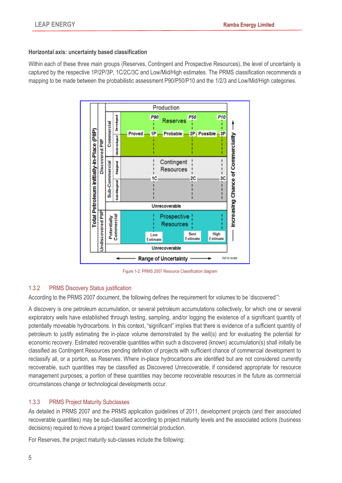#### **Horizontal axis: uncertainty based classification**

Within each of these three main groups (Reserves, Contingent and Prospective Resources), the level of uncertainty is captured by the respective 1P/2P/3P, 1C/2C/3C and Low/Mid/High estimates. The PRMS classification recommends a mapping to be made between the probabilistic assessment P90/P50/P10 and the 1/2/3 and Low/Mid/High categories.



Figure 1-2: PRMS 2007 Resource Classification diagram

## <span id="page-8-2"></span><span id="page-8-0"></span>1.3.2 PRMS Discovery Status justification

According to the PRMS 2007 document, the following defines the requirement for volumes to be 'discovered'":

A discovery is one petroleum accumulation, or several petroleum accumulations collectively, for which one or several exploratory wells have established through testing, sampling, and/or logging the existence of a significant quantity of potentially moveable hydrocarbons. In this context, "significant" implies that there is evidence of a sufficient quantity of petroleum to justify estimating the in-place volume demonstrated by the well(s) and for evaluating the potential for economic recovery. Estimated recoverable quantities within such a discovered (known) accumulation(s) shall initially be classified as Contingent Resources pending definition of projects with sufficient chance of commercial development to reclassify all, or a portion, as Reserves. Where in-place hydrocarbons are identified but are not considered currently recoverable, such quantities may be classified as Discovered Unrecoverable, if considered appropriate for resource management purposes; a portion of these quantities may become recoverable resources in the future as commercial circumstances change or technological developments occur.

#### <span id="page-8-1"></span>1.3.3 PRMS Project Maturity Subclasses

As detailed in PRMS 2007 and the PRMS application guidelines of 2011, development projects (and their associated recoverable quantities) may be sub-classified according to project maturity levels and the associated actions (business decisions) required to move a project toward commercial production.

For Reserves, the project maturity sub-classes include the following: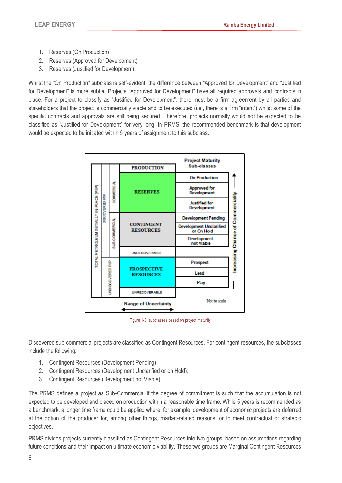- 1. Reserves (On Production)
- 2. Reserves (Approved for Development)
- 3. Reserves (Justified for Development)

Whilst the "On Production" subclass is self-evident, the difference between "Approved for Development" and "Justified for Development" is more subtle. Projects "Approved for Development" have all required approvals and contracts in place. For a project to classify as "Justified for Development", there must be a firm agreement by all parties and stakeholders that the project is commercially viable and to be executed (i.e., there is a firm "intent") whilst some of the specific contracts and approvals are still being secured. Therefore, projects normally would not be expected to be classified as "Justified for Development" for very long. In PRMS, the recommended benchmark is that development would be expected to be initiated within 5 years of assignment to this subclass.



Figure 1-3: subclasses based on project maturity

<span id="page-9-0"></span>Discovered sub-commercial projects are classified as Contingent Resources. For contingent resources, the subclasses include the following:

- 1. Contingent Resources (Development Pending);
- 2. Contingent Resources (Development Unclarified or on Hold);
- 3. Contingent Resources (Development not Viable).

The PRMS defines a project as Sub-Commercial if the degree of commitment is such that the accumulation is not expected to be developed and placed on production within a reasonable time frame. While 5 years is recommended as a benchmark, a longer time frame could be applied where, for example, development of economic projects are deferred at the option of the producer for, among other things, market-related reasons, or to meet contractual or strategic objectives.

PRMS divides projects currently classified as Contingent Resources into two groups, based on assumptions regarding future conditions and their impact on ultimate economic viability. These two groups are Marginal Contingent Resources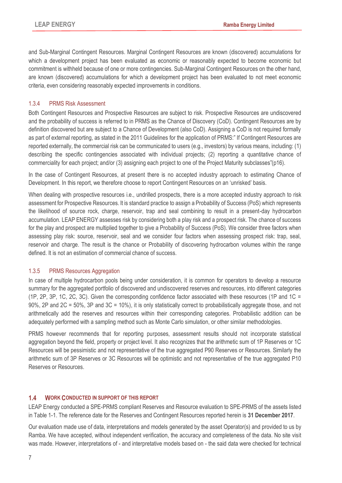and Sub-Marginal Contingent Resources. Marginal Contingent Resources are known (discovered) accumulations for which a development project has been evaluated as economic or reasonably expected to become economic but commitment is withheld because of one or more contingencies. Sub-Marginal Contingent Resources on the other hand, are known (discovered) accumulations for which a development project has been evaluated to not meet economic criteria, even considering reasonably expected improvements in conditions.

#### <span id="page-10-0"></span>1.3.4 PRMS Risk Assessment

Both Contingent Resources and Prospective Resources are subject to risk. Prospective Resources are undiscovered and the probability of success is referred to in PRMS as the Chance of Discovery (CoD). Contingent Resources are by definition discovered but are subject to a Chance of Development (also CoD). Assigning a CoD is not required formally as part of external reporting, as stated in the 2011 Guidelines for the application of PRMS:" If Contingent Resources are reported externally, the commercial risk can be communicated to users (e.g., investors) by various means, including: (1) describing the specific contingencies associated with individual projects; (2) reporting a quantitative chance of commerciality for each project; and/or (3) assigning each project to one of the Project Maturity subclasses"(p16).

In the case of Contingent Resources, at present there is no accepted industry approach to estimating Chance of Development. In this report, we therefore choose to report Contingent Resources on an 'unrisked' basis.

When dealing with prospective resources i.e., undrilled prospects, there is a more accepted industry approach to risk assessment for Prospective Resources. It is standard practice to assign a Probability of Success (PoS) which represents the likelihood of source rock, charge, reservoir, trap and seal combining to result in a present-day hydrocarbon accumulation. LEAP ENERGY assesses risk by considering both a play risk and a prospect risk. The chance of success for the play and prospect are multiplied together to give a Probability of Success (PoS). We consider three factors when assessing play risk: source, reservoir, seal and we consider four factors when assessing prospect risk: trap, seal, reservoir and charge. The result is the chance or Probability of discovering hydrocarbon volumes within the range defined. It is not an estimation of commercial chance of success.

#### <span id="page-10-1"></span>1.3.5 PRMS Resources Aggregation

In case of multiple hydrocarbon pools being under consideration, it is common for operators to develop a resource summary for the aggregated portfolio of discovered and undiscovered reserves and resources, into different categories (1P, 2P, 3P, 1C, 2C, 3C). Given the corresponding confidence factor associated with these resources (1P and 1C = 90%, 2P and 2C = 50%, 3P and 3C = 10%), it is only statistically correct to probabilistically aggregate those, and not arithmetically add the reserves and resources within their corresponding categories. Probabilistic addition can be adequately performed with a sampling method such as Monte Carlo simulation, or other similar methodologies.

PRMS however recommends that for reporting purposes, assessment results should not incorporate statistical aggregation beyond the field, property or project level. It also recognizes that the arithmetic sum of 1P Reserves or 1C Resources will be pessimistic and not representative of the true aggregated P90 Reserves or Resources. Similarly the arithmetic sum of 3P Reserves or 3C Resources will be optimistic and not representative of the true aggregated P10 Reserves or Resources.

## <span id="page-10-2"></span>**1.4 WORK CONDUCTED IN SUPPORT OF THIS REPORT**

LEAP Energy conducted a SPE-PRMS compliant Reserves and Resource evaluation to SPE-PRMS of the assets listed in Table 1-1. The reference date for the Reserves and Contingent Resources reported herein is **31 December 2017**.

Our evaluation made use of data, interpretations and models generated by the asset Operator(s) and provided to us by Ramba. We have accepted, without independent verification, the accuracy and completeness of the data. No site visit was made. However, interpretations of - and interpretative models based on - the said data were checked for technical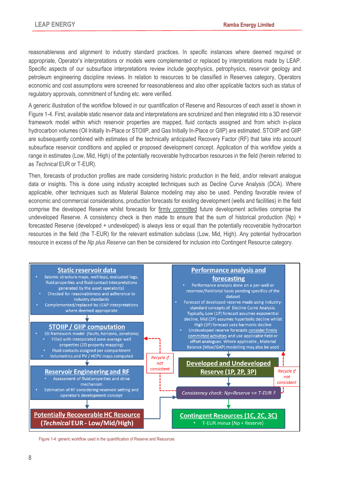reasonableness and alignment to industry standard practices. In specific instances where deemed required or appropriate, Operator's interpretations or models were complemented or replaced by interpretations made by LEAP. Specific aspects of our subsurface interpretations review include geophysics, petrophysics, reservoir geology and petroleum engineering discipline reviews. In relation to resources to be classified in Reserves category, Operators economic and cost assumptions were screened for reasonableness and also other applicable factors such as status of regulatory approvals, commitment of funding etc. were verified.

A generic illustration of the workflow followed in our quantification of Reserve and Resources of each asset is shown in [Figure 1-4.](#page-11-0) First, available static reservoir data and interpretations are scrutinized and then integrated into a 3D reservoir framework model within which reservoir properties are mapped, fluid contacts assigned and from which in-place hydrocarbon volumes (Oil Initially In-Place or STOIIP, and Gas Initially In-Place or GIIP) are estimated. STOIIP and GIIP are subsequently combined with estimates of the technically anticipated Recovery Factor (RF) that take into account subsurface reservoir conditions and applied or proposed development concept. Application of this workflow yields a range in estimates (Low, Mid, High) of the potentially recoverable hydrocarbon resources in the field (herein referred to as *Technical* EUR or T-EUR).

Then, forecasts of production profiles are made considering historic production in the field, and/or relevant analogue data or insights. This is done using industry accepted techniques such as Decline Curve Analysis (DCA). Where applicable, other techniques such as Material Balance modeling may also be used. Pending favorable review of economic and commercial considerations, production forecasts for existing development (wells and facilities) in the field comprise the developed Reserve whilst forecasts for firmly committed future development activities comprise the undeveloped Reserve. A consistency check is then made to ensure that the sum of historical production (Np) + forecasted Reserve (developed + undeveloped) is always less or equal than the potentially recoverable hydrocarbon resources in the field (the T-EUR) for the relevant estimation subclass (Low, Mid, High). Any potential hydrocarbon resource in excess of the *Np plus Reserve* can then be considered for inclusion into Contingent Resource category.



<span id="page-11-0"></span>Figure 1-4: generic workflow used in the quantification of Reserve and Resources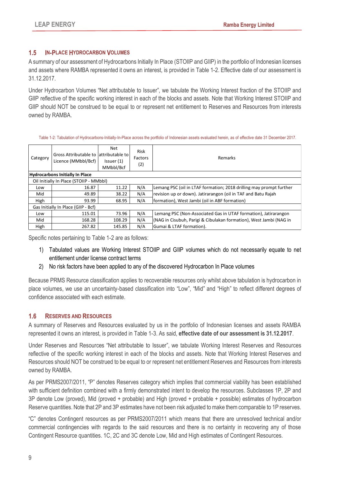### <span id="page-12-0"></span>**1.5 IN-PLACE HYDROCARBON VOLUMES**

A summary of our assessment of Hydrocarbons Initially In Place (STOIIP and GIIP) in the portfolio of Indonesian licenses and assets where RAMBA represented it owns an interest, is provided in [Table 1-2.](#page-12-2) Effective date of our assessment is 31.12.2017.

Under Hydrocarbon Volumes "Net attributable to Issuer", we tabulate the Working Interest fraction of the STOIIP and GIIP reflective of the specific working interest in each of the blocks and assets. Note that Working Interest STOIIP and GIIP should NOT be construed to be equal to or represent net entitlement to Reserves and Resources from interests owned by RAMBA.

Table 1-2: Tabulation of Hydrocarbons-Initially-In-Place across the portfolio of Indonesian assets evaluated herein, as of effective date 31 December 2017.

<span id="page-12-2"></span>

| Category | Gross Attributable to lattributable to<br>Licence (MMbbl/Bcf) | Net<br>Issuer $(1)$<br>MMbbl/Bcf | Risk<br>Factors<br>(2) | Remarks                                                             |
|----------|---------------------------------------------------------------|----------------------------------|------------------------|---------------------------------------------------------------------|
|          | <b>Hydrocarbons Initially In Place</b>                        |                                  |                        |                                                                     |
|          | Oil Initially In Place (STOIIP - MMbbl)                       |                                  |                        |                                                                     |
| Low      | 16.87                                                         | 11.22                            | N/A                    | Lemang PSC (oil in LTAF formation; 2018 drilling may prompt further |
| Mid      | 49.89                                                         | 38.22                            | N/A                    | revision up or down). Jatirarangon (oil in TAF and Batu Rajah       |
| High     | 93.99                                                         | 68.95                            | N/A                    | formation), West Jambi (oil in ABF formation)                       |
|          | Gas Initially In Place (GIIP - Bcf)                           |                                  |                        |                                                                     |
| Low      | 115.01                                                        | 73.96                            | N/A                    | Lemang PSC (Non-Associated Gas in UTAF formation), Jatirarangon     |
| Mid      | 168.28                                                        | 108.29                           | N/A                    | (NAG in Cisubuh, Parigi & Cibulakan formation), West Jambi (NAG in  |
| High     | 267.82                                                        | 145.85                           | N/A                    | Gumai & LTAF formation).                                            |

Specific notes pertaining to [Table 1-2](#page-12-2) are as follows:

- 1) Tabulated values are Working Interest STOIIP and GIIP volumes which do not necessarily equate to net entitlement under license contract terms
- 2) No risk factors have been applied to any of the discovered Hydrocarbon In Place volumes

Because PRMS Resource classification applies to recoverable resources only whilst above tabulation is hydrocarbon in place volumes, we use an uncertainty-based classification into "Low", "Mid" and "High" to reflect different degrees of confidence associated with each estimate.

## <span id="page-12-1"></span>**1.6 RESERVES AND RESOURCES**

A summary of Reserves and Resources evaluated by us in the portfolio of Indonesian licenses and assets RAMBA represented it owns an interest, is provided in [Table 1-3.](#page-13-2) As said, **effective date of our assessment is 31.12.2017**.

Under Reserves and Resources "Net attributable to Issuer", we tabulate Working Interest Reserves and Resources reflective of the specific working interest in each of the blocks and assets. Note that Working Interest Reserves and Resources should NOT be construed to be equal to or represent net entitlement Reserves and Resources from interests owned by RAMBA.

As per PRMS2007/2011, "P" denotes Reserves category which implies that commercial viability has been established with sufficient definition combined with a firmly demonstrated intent to develop the resources. Subclasses 1P, 2P and 3P denote Low (proved), Mid (proved + probable) and High (proved + probable + possible) estimates of hydrocarbon Reserve quantities. Note that 2P and 3P estimates have not been risk adjusted to make them comparable to 1P reserves.

"C" denotes Contingent resources as per PRMS2007/2011 which means that there are unresolved technical and/or commercial contingencies with regards to the said resources and there is no certainty in recovering any of those Contingent Resource quantities. 1C, 2C and 3C denote Low, Mid and High estimates of Contingent Resources.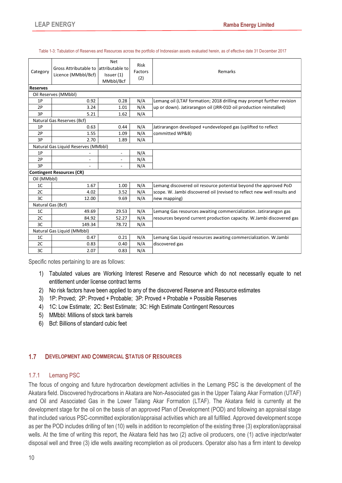<span id="page-13-2"></span>

| Category          | Gross Attributable to lattributable to<br>Licence (MMbbl/Bcf) | <b>Net</b><br>Issuer (1)<br>MMbbl/Bcf | <b>Risk</b><br>Factors<br>(2) | Remarks                                                                 |
|-------------------|---------------------------------------------------------------|---------------------------------------|-------------------------------|-------------------------------------------------------------------------|
| <b>Reserves</b>   |                                                               |                                       |                               |                                                                         |
|                   | Oil Reserves (MMbbl)                                          |                                       |                               |                                                                         |
| 1P                | 0.92                                                          | 0.28                                  | N/A                           | Lemang oil (LTAF formation; 2018 drilling may prompt further revision   |
| 2P                | 3.24                                                          | 1.01                                  | N/A                           | up or down). Jatirarangon oil (JRR-01D oil production reinstalled)      |
| 3P                | 5.21                                                          | 1.62                                  | N/A                           |                                                                         |
|                   | Natural Gas Reserves (Bcf)                                    |                                       |                               |                                                                         |
| 1P                | 0.63                                                          | 0.44                                  | N/A                           | Jatirarangon developed +undeveloped gas (uplifted to reflect            |
| 2P                | 1.55                                                          | 1.09                                  | N/A                           | committed WP&B)                                                         |
| 3P                | 2.70                                                          | 1.89                                  | N/A                           |                                                                         |
|                   | Natural Gas Liquid Reserves (MMbbl)                           |                                       |                               |                                                                         |
| 1P                |                                                               | ٠                                     | N/A                           |                                                                         |
| 2P                |                                                               | ۰                                     | N/A                           |                                                                         |
| 3P                |                                                               |                                       | N/A                           |                                                                         |
|                   | <b>Contingent Resources (CR)</b>                              |                                       |                               |                                                                         |
| Oil (MMbbl)       |                                                               |                                       |                               |                                                                         |
| 1 <sup>C</sup>    | 1.67                                                          | 1.00                                  | N/A                           | Lemang discovered oil resource potential beyond the approved PoD        |
| 2C                | 4.02                                                          | 3.52                                  | N/A                           | scope. W. Jambi discovered oil (revised to reflect new well results and |
| 3C                | 12.00                                                         | 9.69                                  | N/A                           | new mapping)                                                            |
| Natural Gas (Bcf) |                                                               |                                       |                               |                                                                         |
| 1 <sup>C</sup>    | 49.69                                                         | 29.53                                 | N/A                           | Lemang Gas resources awaiting commercialization. Jatirarangon gas       |
| 2C                | 84.92                                                         | 52.27                                 | N/A                           | resources beyond current production capacity. W. Jambi discovered gas   |
| 3C                | 149.34                                                        | 78.72                                 | N/A                           |                                                                         |
|                   | Natural Gas Liquid (MMbbl)                                    |                                       |                               |                                                                         |
| 1 <sup>C</sup>    | 0.47                                                          | 0.21                                  | N/A                           | Lemang Gas Liquid resources awaiting commercialization. W. Jambi        |
| 2C                | 0.83                                                          | 0.40                                  | N/A                           | discovered gas                                                          |
| 3C                | 2.07                                                          | 0.83                                  | N/A                           |                                                                         |

Table 1-3: Tabulation of Reserves and Resources across the portfolio of Indonesian assets evaluated herein, as of effective date 31 December 2017

Specific notes pertaining to are as follows:

- 1) Tabulated values are Working Interest Reserve and Resource which do not necessarily equate to net entitlement under license contract terms
- 2) No risk factors have been applied to any of the discovered Reserve and Resource estimates
- 3) 1P: Proved; 2P: Proved + Probable; 3P: Proved + Probable + Possible Reserves
- 4) 1C: Low Estimate; 2C: Best Estimate; 3C: High Estimate Contingent Resources
- 5) MMbbl: Millions of stock tank barrels
- 6) Bcf: Billions of standard cubic feet

#### <span id="page-13-1"></span><span id="page-13-0"></span>**1.7 DEVELOPMENT AND COMMERCIAL STATUS OF RESOURCES**

#### 1.7.1 Lemang PSC

The focus of ongoing and future hydrocarbon development activities in the Lemang PSC is the development of the Akatara field. Discovered hydrocarbons in Akatara are Non-Associated gas in the Upper Talang Akar Formation (UTAF) and Oil and Associated Gas in the Lower Talang Akar Formation (LTAF). The Akatara field is currently at the development stage for the oil on the basis of an approved Plan of Development (POD) and following an appraisal stage that included various PSC-committed exploration/appraisal activities which are all fulfilled. Approved development scope as per the POD includes drilling of ten (10) wells in addition to recompletion of the existing three (3) exploration/appraisal wells. At the time of writing this report, the Akatara field has two (2) active oil producers, one (1) active injector/water disposal well and three (3) idle wells awaiting recompletion as oil producers. Operator also has a firm intent to develop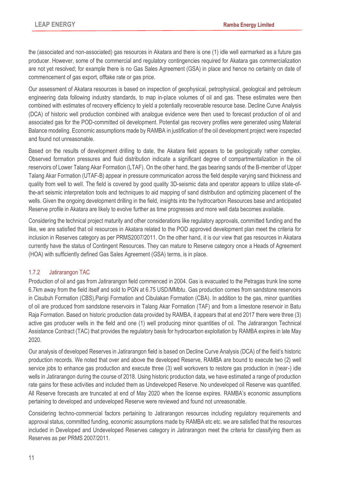the (associated and non-associated) gas resources in Akatara and there is one (1) idle well earmarked as a future gas producer. However, some of the commercial and regulatory contingencies required for Akatara gas commercialization are not yet resolved; for example there is no Gas Sales Agreement (GSA) in place and hence no certainty on date of commencement of gas export, offtake rate or gas price.

Our assessment of Akatara resources is based on inspection of geophysical, petrophysical, geological and petroleum engineering data following industry standards, to map in-place volumes of oil and gas. These estimates were then combined with estimates of recovery efficiency to yield a potentially recoverable resource base. Decline Curve Analysis (DCA) of historic well production combined with analogue evidence were then used to forecast production of oil and associated gas for the POD-committed oil development. Potential gas recovery profiles were generated using Material Balance modeling. Economic assumptions made by RAMBA in justification of the oil development project were inspected and found not unreasonable.

Based on the results of development drilling to date, the Akatara field appears to be geologically rather complex. Observed formation pressures and fluid distribution indicate a significant degree of compartmentalization in the oil reservoirs of Lower Talang Akar Formation (LTAF). On the other hand, the gas bearing sands of the B-member of Upper Talang Akar Formation (UTAF-B) appear in pressure communication across the field despite varying sand thickness and quality from well to well. The field is covered by good quality 3D-seismic data and operator appears to utilize state-ofthe-art seismic interpretation tools and techniques to aid mapping of sand distribution and optimizing placement of the wells. Given the ongoing development drilling in the field, insights into the hydrocarbon Resources base and anticipated Reserve profile in Akatara are likely to evolve further as time progresses and more well data becomes available.

Considering the technical project maturity and other considerations like regulatory approvals, committed funding and the like, we are satisfied that oil resources in Akatara related to the POD approved development plan meet the criteria for inclusion in Reserves category as per PRMS2007/2011. On the other hand, it is our view that gas resources in Akatara currently have the status of Contingent Resources. They can mature to Reserve category once a Heads of Agreement (HOA) with sufficiently defined Gas Sales Agreement (GSA) terms, is in place.

## <span id="page-14-0"></span>1.7.2 Jatirarangon TAC

Production of oil and gas from Jatirarangon field commenced in 2004. Gas is evacuated to the Petragas trunk line some 6.7km away from the field itself and sold to PGN at 6.75 USD/MMbtu. Gas production comes from sandstone reservoirs in Cisubuh Formation (CBS),Parigi Formation and Cibulakan Formation (CBA). In addition to the gas, minor quantities of oil are produced from sandstone reservoirs in Talang Akar Formation (TAF) and from a limestone reservoir in Batu Raja Formation. Based on historic production data provided by RAMBA, it appears that at end 2017 there were three (3) active gas producer wells in the field and one (1) well producing minor quantities of oil. The Jatirarangon Technical Assistance Contract (TAC) that provides the regulatory basis for hydrocarbon exploitation by RAMBA expires in late May 2020.

Our analysis of developed Reserves in Jatirarangon field is based on Decline Curve Analysis (DCA) of the field's historic production records. We noted that over and above the developed Reserve, RAMBA are bound to execute two (2) well service jobs to enhance gas production and execute three (3) well workovers to restore gas production in (near-) idle wells in Jatirarangon during the course of 2018. Using historic production data, we have estimated a range of production rate gains for these activities and included them as Undeveloped Reserve. No undeveloped oil Reserve was quantified. All Reserve forecasts are truncated at end of May 2020 when the license expires. RAMBA's economic assumptions pertaining to developed and undeveloped Reserve were reviewed and found not unreasonable.

Considering techno-commercial factors pertaining to Jatirarangon resources including regulatory requirements and approval status, committed funding, economic assumptions made by RAMBA etc etc. we are satisfied that the resources included in Developed and Undeveloped Reserves category in Jatirarangon meet the criteria for classifying them as Reserves as per PRMS 2007/2011.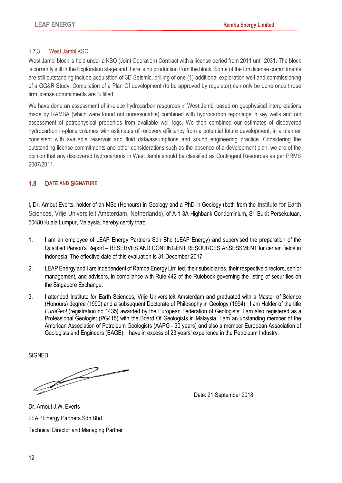## <span id="page-15-0"></span>1.7.3 West Jambi KSO

West Jambi block is held under a KSO (Joint Operation) Contract with a license period from 2011 until 2031. The block is currently still in the Exploration stage and there is no production from the block. Some of the firm license commitments are still outstanding include acquisition of 3D Seismic, drilling of one (1) additional exploration well and commissioning of a GG&R Study. Compilation of a Plan Of development (to be approved by regulator) can only be done once those firm license commitments are fulfilled.

We have done an assessment of in-place hydrocarbon resources in West Jambi based on geophysical interpretations made by RAMBA (which were found not unreasonable) combined with hydrocarbon reportings in key wells and our assessment of petrophysical properties from available well logs. We then combined our estimates of discovered hydrocarbon in-place volumes with estimates of recovery efficiency from a potential future development, in a manner consistent with available reservoir and fluid data/assumptions and sound engineering practice. Considering the outstanding license commitments and other considerations such as the absence of a development plan, we are of the opinion that any discovered hydrocarbons in West Jambi should be classified as Contingent Resources as per PRMS 2007/2011.

## <span id="page-15-1"></span>**1.8 DATE AND SIGNATURE**

I, Dr. Arnout Everts, holder of an MSc (Honours) in Geology and a PhD in Geology (both from the Institute for Earth Sciences, Vrije Universiteit Amsterdam, Netherlands), of A-1 3A Highbank Condominium, Sri Bukit Persekutuan, 50480 Kuala Lumpur, Malaysia, hereby certify that:

- 1. I am an employee of LEAP Energy Partners Sdn Bhd (LEAP Energy) and supervised the preparation of the Qualified Person's Report – RESERVES AND CONTINGENT RESOURCES ASSESSMENT for certain fields in Indonesia. The effective date of this evaluation is 31 December 2017.
- 2. LEAP Energy and I are independent of Ramba Energy Limited, their subsidiaries, their respective directors, senior management, and advisers, in compliance with Rule 442 of the Rulebook governing the listing of securities on the Singapore Exchange.
- 3. I attended Institute for Earth Sciences, Vrije Universiteit Amsterdam and graduated with a Master of Science (Honours) degree (1990) and a subsequent Doctorate of Philosophy in Geology (1994). I am Holder of the title *EuroGeol* (registration no 1435) awarded by the European Federation of Geologists. I am also registered as a Professional Geologist (PG415) with the Board Of Geologists in Malaysia. I am an upstanding member of the American Association of Petroleum Geologists (AAPG - 30 years) and also a member European Association of Geologists and Engineers (EAGE). I have in excess of 23 years' experience in the Petroleum Industry.

SIGNED:

F

Date: 21 September 2018

Dr. Arnout J.W. Everts LEAP Energy Partners Sdn Bhd Technical Director and Managing Partner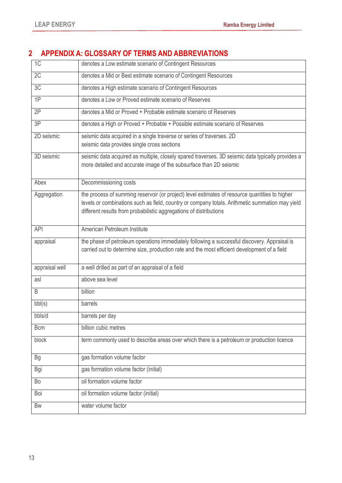# <span id="page-16-0"></span>**2 APPENDIX A: GLOSSARY OF TERMS AND ABBREVIATIONS**

| 1C             | denotes a Low estimate scenario of Contingent Resources                                                                                                                                                                                                                 |
|----------------|-------------------------------------------------------------------------------------------------------------------------------------------------------------------------------------------------------------------------------------------------------------------------|
| 2C             | denotes a Mid or Best estimate scenario of Contingent Resources                                                                                                                                                                                                         |
| 3C             | denotes a High estimate scenario of Contingent Resources                                                                                                                                                                                                                |
| $\overline{1}$ | denotes a Low or Proved estimate scenario of Reserves                                                                                                                                                                                                                   |
| 2P             | denotes a Mid or Proved + Probable estimate scenario of Reserves                                                                                                                                                                                                        |
| 3P             | denotes a High or Proved + Probable + Possible estimate scenario of Reserves                                                                                                                                                                                            |
| 2D seismic     | seismic data acquired in a single traverse or series of traverses. 2D<br>seismic data provides single cross sections                                                                                                                                                    |
| 3D seismic     | seismic data acquired as multiple, closely spared traverses. 3D seismic data typically provides a<br>more detailed and accurate image of the subsurface than 2D seismic                                                                                                 |
| Abex           | Decommissioning costs                                                                                                                                                                                                                                                   |
| Aggregation    | the process of summing reservoir (or project) level estimates of resource quantities to higher<br>levels or combinations such as field, country or company totals. Arithmetic summation may yield<br>different results from probabilistic aggregations of distributions |
| <b>API</b>     | American Petroleum Institute                                                                                                                                                                                                                                            |
| appraisal      | the phase of petroleum operations immediately following a successful discovery. Appraisal is<br>carried out to determine size, production rate and the most efficient development of a field                                                                            |
| appraisal well | a well drilled as part of an appraisal of a field                                                                                                                                                                                                                       |
| asl            | above sea level                                                                                                                                                                                                                                                         |
| B              | billion                                                                                                                                                                                                                                                                 |
| bb(s)          | barrels                                                                                                                                                                                                                                                                 |
| bbls/d         | barrels per day                                                                                                                                                                                                                                                         |
| <b>Bcm</b>     | billion cubic metres                                                                                                                                                                                                                                                    |
| block          | term commonly used to describe areas over which there is a petroleum or production licence                                                                                                                                                                              |
| Bg             | gas formation volume factor                                                                                                                                                                                                                                             |
| Bgi            | gas formation volume factor (initial)                                                                                                                                                                                                                                   |
| Bo             | oil formation volume factor                                                                                                                                                                                                                                             |
| Boi            | oil formation volume factor (initial)                                                                                                                                                                                                                                   |
| <b>Bw</b>      | water volume factor                                                                                                                                                                                                                                                     |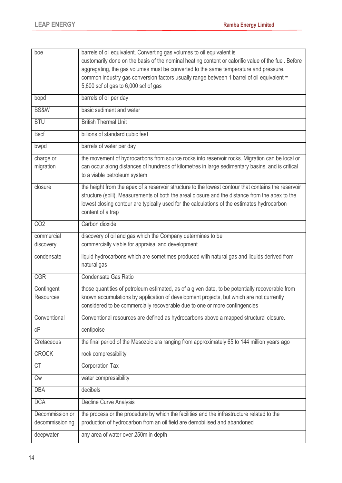| boe              | barrels of oil equivalent. Converting gas volumes to oil equivalent is                                                            |
|------------------|-----------------------------------------------------------------------------------------------------------------------------------|
|                  | customarily done on the basis of the nominal heating content or calorific value of the fuel. Before                               |
|                  | aggregating, the gas volumes must be converted to the same temperature and pressure.                                              |
|                  | common industry gas conversion factors usually range between 1 barrel of oil equivalent =<br>5,600 scf of gas to 6,000 scf of gas |
|                  |                                                                                                                                   |
| bopd             | barrels of oil per day                                                                                                            |
| BS&W             | basic sediment and water                                                                                                          |
| <b>BTU</b>       | <b>British Thermal Unit</b>                                                                                                       |
| <b>Bscf</b>      | billions of standard cubic feet                                                                                                   |
| bwpd             | barrels of water per day                                                                                                          |
| charge or        | the movement of hydrocarbons from source rocks into reservoir rocks. Migration can be local or                                    |
| migration        | can occur along distances of hundreds of kilometres in large sedimentary basins, and is critical                                  |
|                  | to a viable petroleum system                                                                                                      |
| closure          | the height from the apex of a reservoir structure to the lowest contour that contains the reservoir                               |
|                  | structure (spill). Measurements of both the areal closure and the distance from the apex to the                                   |
|                  | lowest closing contour are typically used for the calculations of the estimates hydrocarbon                                       |
|                  | content of a trap                                                                                                                 |
| CO <sub>2</sub>  | Carbon dioxide                                                                                                                    |
| commercial       | discovery of oil and gas which the Company determines to be                                                                       |
| discovery        | commercially viable for appraisal and development                                                                                 |
| condensate       | liquid hydrocarbons which are sometimes produced with natural gas and liquids derived from                                        |
|                  | natural gas                                                                                                                       |
| <b>CGR</b>       | Condensate Gas Ratio                                                                                                              |
| Contingent       | those quantities of petroleum estimated, as of a given date, to be potentially recoverable from                                   |
| <b>Resources</b> | known accumulations by application of development projects, but which are not currently                                           |
|                  | considered to be commercially recoverable due to one or more contingencies                                                        |
| Conventional     | Conventional resources are defined as hydrocarbons above a mapped structural closure.                                             |
| cP               | centipoise                                                                                                                        |
| Cretaceous       | the final period of the Mesozoic era ranging from approximately 65 to 144 million years ago                                       |
| <b>CROCK</b>     | rock compressibility                                                                                                              |
| <b>CT</b>        | <b>Corporation Tax</b>                                                                                                            |
| <b>Cw</b>        | water compressibility                                                                                                             |
| <b>DBA</b>       | decibels                                                                                                                          |
| <b>DCA</b>       | Decline Curve Analysis                                                                                                            |
| Decommission or  | the process or the procedure by which the facilities and the infrastructure related to the                                        |
| decommissioning  | production of hydrocarbon from an oil field are demobilised and abandoned                                                         |
| deepwater        | any area of water over 250m in depth                                                                                              |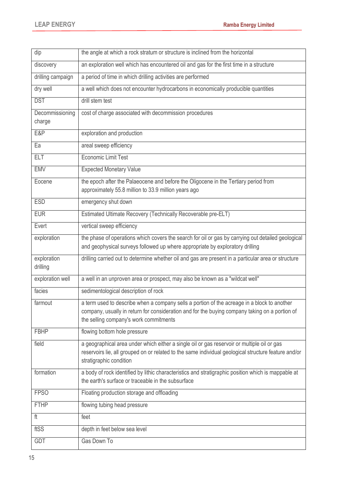| dip                       | the angle at which a rock stratum or structure is inclined from the horizontal                                                                                                                                                          |
|---------------------------|-----------------------------------------------------------------------------------------------------------------------------------------------------------------------------------------------------------------------------------------|
| discovery                 | an exploration well which has encountered oil and gas for the first time in a structure                                                                                                                                                 |
| drilling campaign         | a period of time in which drilling activities are performed                                                                                                                                                                             |
| dry well                  | a well which does not encounter hydrocarbons in economically producible quantities                                                                                                                                                      |
| <b>DST</b>                | drill stem test                                                                                                                                                                                                                         |
| Decommissioning<br>charge | cost of charge associated with decommission procedures                                                                                                                                                                                  |
| <b>E&amp;P</b>            | exploration and production                                                                                                                                                                                                              |
| Ea                        | areal sweep efficiency                                                                                                                                                                                                                  |
| <b>ELT</b>                | <b>Economic Limit Test</b>                                                                                                                                                                                                              |
| <b>EMV</b>                | <b>Expected Monetary Value</b>                                                                                                                                                                                                          |
| Eocene                    | the epoch after the Palaeocene and before the Oligocene in the Tertiary period from<br>approximately 55.8 million to 33.9 million years ago                                                                                             |
| <b>ESD</b>                | emergency shut down                                                                                                                                                                                                                     |
| <b>EUR</b>                | Estimated Ultimate Recovery (Technically Recoverable pre-ELT)                                                                                                                                                                           |
| Evert                     | vertical sweep efficiency                                                                                                                                                                                                               |
| exploration               | the phase of operations which covers the search for oil or gas by carrying out detailed geological<br>and geophysical surveys followed up where appropriate by exploratory drilling                                                     |
| exploration<br>drilling   | drilling carried out to determine whether oil and gas are present in a particular area or structure                                                                                                                                     |
| exploration well          | a well in an unproven area or prospect, may also be known as a "wildcat well"                                                                                                                                                           |
| facies                    | sedimentological description of rock                                                                                                                                                                                                    |
| farmout                   | a term used to describe when a company sells a portion of the acreage in a block to another<br>company, usually in return for consideration and for the buying company taking on a portion of<br>the selling company's work commitments |
| <b>FBHP</b>               | flowing bottom hole pressure                                                                                                                                                                                                            |
| field                     | a geographical area under which either a single oil or gas reservoir or multiple oil or gas<br>reservoirs lie, all grouped on or related to the same individual geological structure feature and/or<br>stratigraphic condition          |
| formation                 | a body of rock identified by lithic characteristics and stratigraphic position which is mappable at<br>the earth's surface or traceable in the subsurface                                                                               |
| <b>FPSO</b>               | Floating production storage and offloading                                                                                                                                                                                              |
| <b>FTHP</b>               | flowing tubing head pressure                                                                                                                                                                                                            |
| ft                        | feet                                                                                                                                                                                                                                    |
| ftSS                      | depth in feet below sea level                                                                                                                                                                                                           |
| <b>GDT</b>                | Gas Down To                                                                                                                                                                                                                             |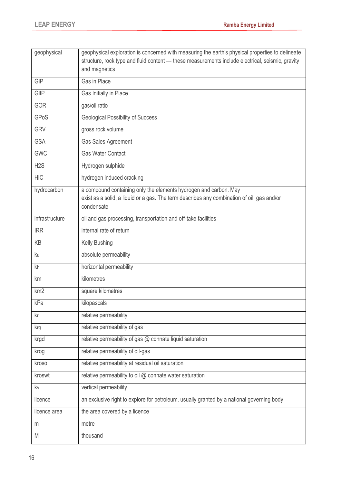| geophysical     | geophysical exploration is concerned with measuring the earth's physical properties to delineate |
|-----------------|--------------------------------------------------------------------------------------------------|
|                 | structure, rock type and fluid content - these measurements include electrical, seismic, gravity |
|                 | and magnetics                                                                                    |
| <b>GIP</b>      | Gas in Place                                                                                     |
| GIIP            | Gas Initially in Place                                                                           |
| GOR             | gas/oil ratio                                                                                    |
| <b>GPoS</b>     | <b>Geological Possibility of Success</b>                                                         |
| <b>GRV</b>      | gross rock volume                                                                                |
| <b>GSA</b>      | Gas Sales Agreement                                                                              |
| <b>GWC</b>      | <b>Gas Water Contact</b>                                                                         |
| H2S             | Hydrogen sulphide                                                                                |
| <b>HIC</b>      | hydrogen induced cracking                                                                        |
| hydrocarbon     | a compound containing only the elements hydrogen and carbon. May                                 |
|                 | exist as a solid, a liquid or a gas. The term describes any combination of oil, gas and/or       |
|                 | condensate                                                                                       |
| infrastructure  | oil and gas processing, transportation and off-take facilities                                   |
| <b>IRR</b>      | internal rate of return                                                                          |
| KB              | Kelly Bushing                                                                                    |
| ka              | absolute permeability                                                                            |
| kh              | horizontal permeability                                                                          |
| km              | kilometres                                                                                       |
| km <sub>2</sub> | square kilometres                                                                                |
| kPa             | kilopascals                                                                                      |
| kr              | relative permeability                                                                            |
| krg             | relative permeability of gas                                                                     |
| krgcl           | relative permeability of gas @ connate liquid saturation                                         |
| krog            | relative permeability of oil-gas                                                                 |
| kroso           | relative permeability at residual oil saturation                                                 |
| kroswt          | relative permeability to oil @ connate water saturation                                          |
| kv              | vertical permeability                                                                            |
| licence         | an exclusive right to explore for petroleum, usually granted by a national governing body        |
| licence area    | the area covered by a licence                                                                    |
| m               | metre                                                                                            |
| M               | thousand                                                                                         |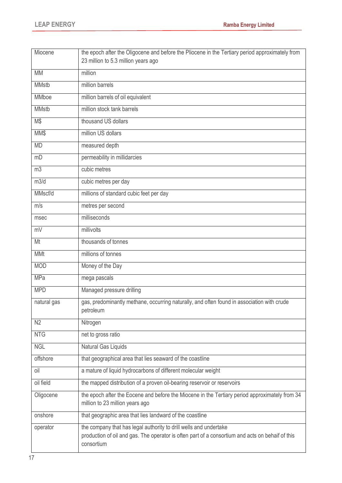| Miocene        | the epoch after the Oligocene and before the Pliocene in the Tertiary period approximately from<br>23 million to 5.3 million years ago                                              |
|----------------|-------------------------------------------------------------------------------------------------------------------------------------------------------------------------------------|
| <b>MM</b>      | million                                                                                                                                                                             |
| <b>MMstb</b>   | million barrels                                                                                                                                                                     |
| MMboe          | million barrels of oil equivalent                                                                                                                                                   |
| <b>MMstb</b>   | million stock tank barrels                                                                                                                                                          |
| M\$            | thousand US dollars                                                                                                                                                                 |
| MM\$           | million US dollars                                                                                                                                                                  |
| <b>MD</b>      | measured depth                                                                                                                                                                      |
| mD             | permeability in millidarcies                                                                                                                                                        |
| m <sub>3</sub> | cubic metres                                                                                                                                                                        |
| m3/d           | cubic metres per day                                                                                                                                                                |
| MMscf/d        | millions of standard cubic feet per day                                                                                                                                             |
| m/s            | metres per second                                                                                                                                                                   |
| msec           | milliseconds                                                                                                                                                                        |
| mV             | millivolts                                                                                                                                                                          |
| Mt             | thousands of tonnes                                                                                                                                                                 |
| <b>MMt</b>     | millions of tonnes                                                                                                                                                                  |
| <b>MOD</b>     | Money of the Day                                                                                                                                                                    |
| <b>MPa</b>     | mega pascals                                                                                                                                                                        |
| <b>MPD</b>     | Managed pressure drilling                                                                                                                                                           |
| natural gas    | gas, predominantly methane, occurring naturally, and often found in association with crude<br>petroleum                                                                             |
| N <sub>2</sub> | Nitrogen                                                                                                                                                                            |
| <b>NTG</b>     | net to gross ratio                                                                                                                                                                  |
| <b>NGL</b>     | Natural Gas Liquids                                                                                                                                                                 |
| offshore       | that geographical area that lies seaward of the coastline                                                                                                                           |
| oil            | a mature of liquid hydrocarbons of different molecular weight                                                                                                                       |
| oil field      | the mapped distribution of a proven oil-bearing reservoir or reservoirs                                                                                                             |
| Oligocene      | the epoch after the Eocene and before the Miocene in the Tertiary period approximately from 34<br>million to 23 million years ago                                                   |
| onshore        | that geographic area that lies landward of the coastline                                                                                                                            |
| operator       | the company that has legal authority to drill wells and undertake<br>production of oil and gas. The operator is often part of a consortium and acts on behaif of this<br>consortium |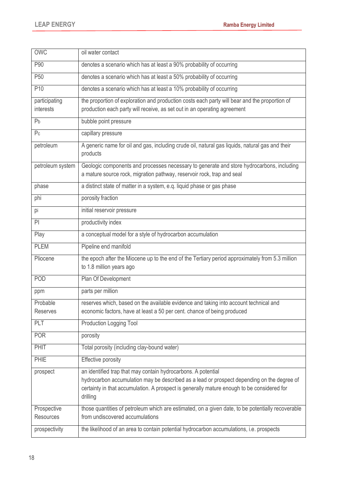| <b>OWC</b>                      | oil water contact                                                                                                                                                                                                                                                     |
|---------------------------------|-----------------------------------------------------------------------------------------------------------------------------------------------------------------------------------------------------------------------------------------------------------------------|
| P90                             | denotes a scenario which has at least a 90% probability of occurring                                                                                                                                                                                                  |
| P <sub>50</sub>                 | denotes a scenario which has at least a 50% probability of occurring                                                                                                                                                                                                  |
| P10                             | denotes a scenario which has at least a 10% probability of occurring                                                                                                                                                                                                  |
| participating<br>interests      | the proportion of exploration and production costs each party will bear and the proportion of<br>production each party will receive, as set out in an operating agreement                                                                                             |
| P <sub>b</sub>                  | bubble point pressure                                                                                                                                                                                                                                                 |
| P <sub>c</sub>                  | capillary pressure                                                                                                                                                                                                                                                    |
| petroleum                       | A generic name for oil and gas, including crude oil, natural gas liquids, natural gas and their<br>products                                                                                                                                                           |
| petroleum system                | Geologic components and processes necessary to generate and store hydrocarbons, including<br>a mature source rock, migration pathway, reservoir rock, trap and seal                                                                                                   |
| phase                           | a distinct state of matter in a system, e.q. liquid phase or gas phase                                                                                                                                                                                                |
| phi                             | porosity fraction                                                                                                                                                                                                                                                     |
| pi                              | initial reservoir pressure                                                                                                                                                                                                                                            |
| PI                              | productivity index                                                                                                                                                                                                                                                    |
| Play                            | a conceptual model for a style of hydrocarbon accumulation                                                                                                                                                                                                            |
| <b>PLEM</b>                     | Pipeline end manifold                                                                                                                                                                                                                                                 |
| Pliocene                        | the epoch after the Miocene up to the end of the Tertiary period approximately from 5.3 million<br>to 1.8 million years ago                                                                                                                                           |
| POD                             | Plan Of Development                                                                                                                                                                                                                                                   |
| ppm                             | parts per million                                                                                                                                                                                                                                                     |
| Probable<br><b>Reserves</b>     | reserves which, based on the available evidence and taking into account technical and<br>economic factors, have at least a 50 per cent. chance of being produced                                                                                                      |
| PLT                             | <b>Production Logging Tool</b>                                                                                                                                                                                                                                        |
| <b>POR</b>                      | porosity                                                                                                                                                                                                                                                              |
| PHIT                            | Total porosity (including clay-bound water)                                                                                                                                                                                                                           |
| PHIE                            | Effective porosity                                                                                                                                                                                                                                                    |
| prospect                        | an identified trap that may contain hydrocarbons. A potential<br>hydrocarbon accumulation may be described as a lead or prospect depending on the degree of<br>certainty in that accumulation. A prospect is generally mature enough to be considered for<br>drilling |
| Prospective<br><b>Resources</b> | those quantities of petroleum which are estimated, on a given date, to be potentially recoverable<br>from undiscovered accumulations                                                                                                                                  |
| prospectivity                   | the likelihood of an area to contain potential hydrocarbon accumulations, i.e. prospects                                                                                                                                                                              |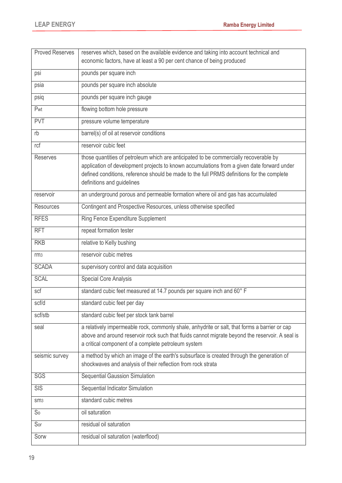| <b>Proved Reserves</b> | reserves which, based on the available evidence and taking into account technical and<br>economic factors, have at least a 90 per cent chance of being produced                                                                                                                                                 |
|------------------------|-----------------------------------------------------------------------------------------------------------------------------------------------------------------------------------------------------------------------------------------------------------------------------------------------------------------|
| psi                    | pounds per square inch                                                                                                                                                                                                                                                                                          |
| psia                   | pounds per square inch absolute                                                                                                                                                                                                                                                                                 |
| psiq                   | pounds per square inch gauge                                                                                                                                                                                                                                                                                    |
| Pwt                    | flowing bottom hole pressure                                                                                                                                                                                                                                                                                    |
| <b>PVT</b>             | pressure volume temperature                                                                                                                                                                                                                                                                                     |
| rb                     | barrel(s) of oil at reservoir conditions                                                                                                                                                                                                                                                                        |
| rcf                    | reservoir cubic feet                                                                                                                                                                                                                                                                                            |
| <b>Reserves</b>        | those quantities of petroleum which are anticipated to be commercially recoverable by<br>application of development projects to known accumulations from a given date forward under<br>defined conditions, reference should be made to the full PRMS definitions for the complete<br>definitions and guidelines |
| reservoir              | an underground porous and permeable formation where oil and gas has accumulated                                                                                                                                                                                                                                 |
| <b>Resources</b>       | Contingent and Prospective Resources, unless otherwise specified                                                                                                                                                                                                                                                |
| <b>RFES</b>            | Ring Fence Expenditure Supplement                                                                                                                                                                                                                                                                               |
| <b>RFT</b>             | repeat formation tester                                                                                                                                                                                                                                                                                         |
| <b>RKB</b>             | relative to Kelly bushing                                                                                                                                                                                                                                                                                       |
| rm <sub>3</sub>        | reservoir cubic metres                                                                                                                                                                                                                                                                                          |
| <b>SCADA</b>           | supervisory control and data acquisition                                                                                                                                                                                                                                                                        |
| <b>SCAL</b>            | <b>Special Core Analysis</b>                                                                                                                                                                                                                                                                                    |
| scf                    | standard cubic feet measured at 14.7 pounds per square inch and 60° F                                                                                                                                                                                                                                           |
| scf/d                  | standard cubic feet per day                                                                                                                                                                                                                                                                                     |
| scf/stb                | standard cubic feet per stock tank barrel                                                                                                                                                                                                                                                                       |
| seal                   | a relatively impermeable rock, commonly shale, anhydrite or salt, that forms a barrier or cap<br>above and around reservoir rock such that fluids cannot migrate beyond the reservoir. A seal is<br>a critical component of a complete petroleum system                                                         |
| seismic survey         | a method by which an image of the earth's subsurface is created through the generation of<br>shockwaves and analysis of their reflection from rock strata                                                                                                                                                       |
| SGS                    | Sequential Gaussion Simulation                                                                                                                                                                                                                                                                                  |
| <b>SIS</b>             | Sequential Indicator Simulation                                                                                                                                                                                                                                                                                 |
| SM <sub>3</sub>        | standard cubic metres                                                                                                                                                                                                                                                                                           |
| S <sub>0</sub>         | oil saturation                                                                                                                                                                                                                                                                                                  |
| Sor                    | residual oil saturation                                                                                                                                                                                                                                                                                         |
| Sorw                   | residual oil saturation (waterflood)                                                                                                                                                                                                                                                                            |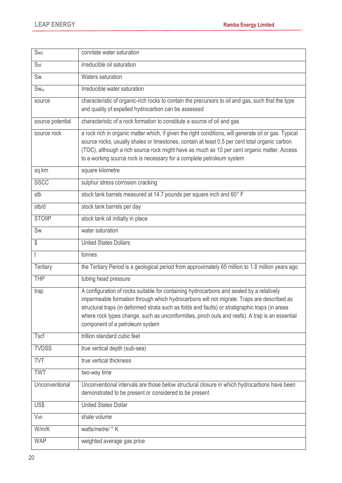| Swc              | connlate water saturation                                                                                                                                                                                                                                                                                                                                                                                                     |
|------------------|-------------------------------------------------------------------------------------------------------------------------------------------------------------------------------------------------------------------------------------------------------------------------------------------------------------------------------------------------------------------------------------------------------------------------------|
| Soi              | irreducible oil saturation                                                                                                                                                                                                                                                                                                                                                                                                    |
| Sw               | Waters saturation                                                                                                                                                                                                                                                                                                                                                                                                             |
| $Sw_{irr}$       | Irreducible water saturation                                                                                                                                                                                                                                                                                                                                                                                                  |
| source           | characteristic of organic-rich rocks to contain the precursors to oil and gas, such that the type<br>and quality of expelled hydrocarbon can be assessed                                                                                                                                                                                                                                                                      |
| source potential | characteristic of a rock formation to constitute a source of oil and gas                                                                                                                                                                                                                                                                                                                                                      |
| source rock      | a rock rich in organic matter which, if given the right conditions, will generate oil or gas. Typical<br>source rocks, usually shales or limestones, contain at least 0.5 per cent total organic carbon<br>(TOC), although a rich source rock might have as much as 10 per cent organic matter. Access<br>to a working source rock is necessary for a complete petroleum system                                               |
| sq km            | square kilometre                                                                                                                                                                                                                                                                                                                                                                                                              |
| <b>SSCC</b>      | sulphur stress corrosion cracking                                                                                                                                                                                                                                                                                                                                                                                             |
| stb              | stock tank barrels measured at 14.7 pounds per square inch and 60°F                                                                                                                                                                                                                                                                                                                                                           |
| stb/d            | stock tank barrels per day                                                                                                                                                                                                                                                                                                                                                                                                    |
| <b>STOIIP</b>    | stock tank oil initially in place                                                                                                                                                                                                                                                                                                                                                                                             |
| Sw               | water saturation                                                                                                                                                                                                                                                                                                                                                                                                              |
| \$               | <b>United States Dollars</b>                                                                                                                                                                                                                                                                                                                                                                                                  |
| $\mathfrak{t}$   | tonnes                                                                                                                                                                                                                                                                                                                                                                                                                        |
| <b>Tertiary</b>  | the Tertiary Period is a geological period from approximately 65 million to 1.8 million years ago                                                                                                                                                                                                                                                                                                                             |
| <b>THP</b>       | tubing head pressure                                                                                                                                                                                                                                                                                                                                                                                                          |
| trap             | A configuration of rocks suitable for containing hydrocarbons and sealed by a relatively<br>impermeable formation through which hydrocarbons will not migrate. Traps are described as<br>structural traps (in deformed strata such as folds and faults) or stratigraphic traps (in areas<br>where rock types change, such as unconformities, pinch outs and reefs). A trap is an essential<br>component of a petroleum system |
| Tscf             | trillion standard cubic feet                                                                                                                                                                                                                                                                                                                                                                                                  |
| <b>TVDSS</b>     | true vertical depth (sub-sea)                                                                                                                                                                                                                                                                                                                                                                                                 |
| <b>TVT</b>       | true vertical thickness                                                                                                                                                                                                                                                                                                                                                                                                       |
| <b>TWT</b>       | two-way time                                                                                                                                                                                                                                                                                                                                                                                                                  |
| Unconventional   | Unconventional intervals are those below structural closure in which hydrocarbons have been<br>demonstrated to be present or considered to be present                                                                                                                                                                                                                                                                         |
| US\$             | <b>United States Dollar</b>                                                                                                                                                                                                                                                                                                                                                                                                   |
| Vsh              | shale volume                                                                                                                                                                                                                                                                                                                                                                                                                  |
| W/m/K            | watts/metre/ ° K                                                                                                                                                                                                                                                                                                                                                                                                              |
| <b>WAP</b>       | weighted average gas price                                                                                                                                                                                                                                                                                                                                                                                                    |